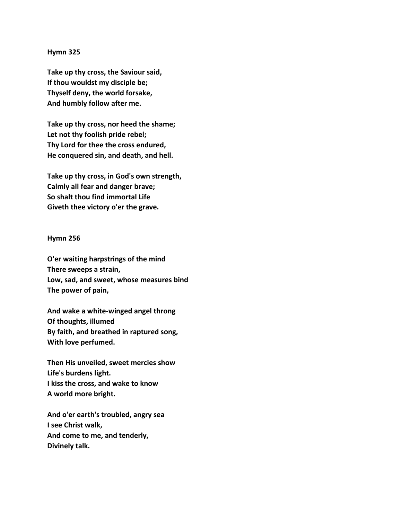## **Hymn 325**

**Take up thy cross, the Saviour said, If thou wouldst my disciple be; Thyself deny, the world forsake, And humbly follow after me.** 

**Take up thy cross, nor heed the shame; Let not thy foolish pride rebel; Thy Lord for thee the cross endured, He conquered sin, and death, and hell.** 

**Take up thy cross, in God's own strength, Calmly all fear and danger brave; So shalt thou find immortal Life Giveth thee victory o'er the grave.**

## **Hymn 256**

**O'er waiting harpstrings of the mind There sweeps a strain, Low, sad, and sweet, whose measures bind The power of pain,** 

**And wake a white-winged angel throng Of thoughts, illumed By faith, and breathed in raptured song, With love perfumed.** 

**Then His unveiled, sweet mercies show Life's burdens light. I kiss the cross, and wake to know A world more bright.** 

**And o'er earth's troubled, angry sea I see Christ walk, And come to me, and tenderly, Divinely talk.**